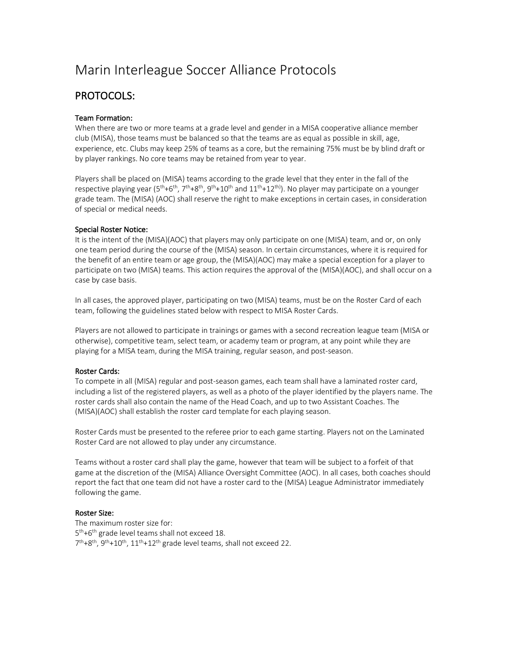# Marin Interleague Soccer Alliance Protocols

# PROTOCOLS:

# Team Formation:

When there are two or more teams at a grade level and gender in a MISA cooperative alliance member club (MISA), those teams must be balanced so that the teams are as equal as possible in skill, age, experience, etc. Clubs may keep 25% of teams as a core, but the remaining 75% must be by blind draft or by player rankings. No core teams may be retained from year to year.

Players shall be placed on (MISA) teams according to the grade level that they enter in the fall of the respective playing year ( $5<sup>th</sup>+6<sup>th</sup>, 7<sup>th</sup>+8<sup>th</sup>, 9<sup>th</sup>+10<sup>th</sup>$  and  $11<sup>th</sup>+12<sup>th</sup>$ ). No player may participate on a younger grade team. The (MISA) (AOC) shall reserve the right to make exceptions in certain cases, in consideration of special or medical needs.

# Special Roster Notice:

It is the intent of the (MISA)(AOC) that players may only participate on one (MISA) team, and or, on only one team period during the course of the (MISA) season. In certain circumstances, where it is required for the benefit of an entire team or age group, the (MISA)(AOC) may make a special exception for a player to participate on two (MISA) teams. This action requires the approval of the (MISA)(AOC), and shall occur on a case by case basis.

In all cases, the approved player, participating on two (MISA) teams, must be on the Roster Card of each team, following the guidelines stated below with respect to MISA Roster Cards.

Players are not allowed to participate in trainings or games with a second recreation league team (MISA or otherwise), competitive team, select team, or academy team or program, at any point while they are playing for a MISA team, during the MISA training, regular season, and post-season.

# Roster Cards:

To compete in all (MISA) regular and post-season games, each team shall have a laminated roster card, including a list of the registered players, as well as a photo of the player identified by the players name. The roster cards shall also contain the name of the Head Coach, and up to two Assistant Coaches. The (MISA)(AOC) shall establish the roster card template for each playing season.

Roster Cards must be presented to the referee prior to each game starting. Players not on the Laminated Roster Card are not allowed to play under any circumstance.

Teams without a roster card shall play the game, however that team will be subject to a forfeit of that game at the discretion of the (MISA) Alliance Oversight Committee (AOC). In all cases, both coaches should report the fact that one team did not have a roster card to the (MISA) League Administrator immediately following the game.

# Roster Size:

The maximum roster size for: 5<sup>th</sup>+6<sup>th</sup> grade level teams shall not exceed 18.  $7<sup>th</sup>+8<sup>th</sup>$ ,  $9<sup>th</sup>+10<sup>th</sup>$ ,  $11<sup>th</sup>+12<sup>th</sup>$  grade level teams, shall not exceed 22.